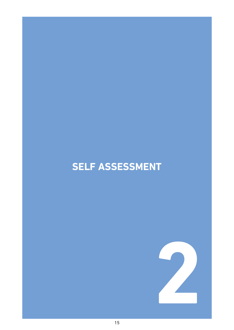# **SELF ASSESSMENT**

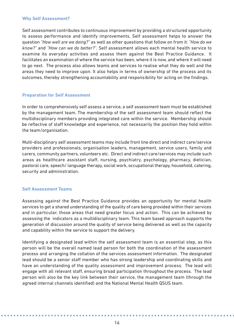### **Why Self Assessment?**

Self assessment contributes to continuous improvement by providing a structured opportunity to assess performance and identify improvements. Self assessment helps to answer the question *"How well are we doing?"* as well as other questions that follow on from it: *"How do we know?"* and *"How can we do better?"*. Self assessment allows each mental health service to examine its everyday activities and assess them against the Best Practice Guidance. It facilitates an examination of where the service has been, where it is now, and where it will need to go next. The process also allows teams and services to realise what they do well and the areas they need to improve upon. It also helps in terms of ownership of the process and its outcomes, thereby strengthening accountability and responsibility for acting on the findings.

## **Preparation for Self Assessment**

In order to comprehensively self assess a service, a self assessment team must be established by the management team. The membership of the self assessment team should reflect the multidisciplinary members providing integrated care within the service. Membership should be reflective of staff knowledge and experience, not necessarily the position they hold within the team/organisation.

Multi-disciplinary self assessment teams may include front line direct and indirect care/service providers and professionals, organisation leaders, management, service users, family and carers, community partners, volunteers etc. Direct and indirect care/services may include such areas as healthcare assistant staff, nursing, psychiatry, psychology, pharmacy, dietician, pastoral care, speech/ language therapy, social work, occupational therapy, household, catering, security and administration.

### **Self Assessment Teams**

Assessing against the Best Practice Guidance provides an opportunity for mental health services to get a shared understanding of the quality of care being provided within their services and in particular, those areas that need greater focus and action. This can be achieved by assessing the indicators as a multidisciplinary team. This team based approach supports the generation of discussion around the quality of service being delivered as well as the capacity and capability within the service to support the delivery.

Identifying a designated lead within the self assessment team is an essential step, as this person will be the overall named lead person for both the coordination of the assessment process and arranging the collation of the services assessment information. The designated lead should be a senior staff member who has strong leadership and coordinating skills and have an understanding of the quality assessment and improvement process. The lead will engage with all relevant staff, ensuring broad participation throughout the process. The lead person will also be the key link between their service, the management team (through the agreed internal channels identified) and the National Mental Health QSUS team.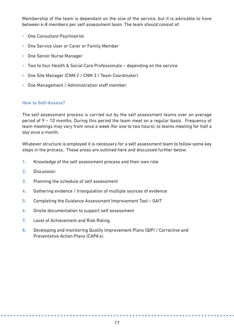Membership of the team is dependant on the size of the service, but it is advisable to have between 6-8 members per self assessment team. The team should consist of:

- One Consultant Psychiatrist
- One Service User or Carer or Family Member
- One Senior Nurse Manager
- Two to four Health & Social Care Professionals depending on the service
- One Site Manager (CNM 2 / CNM 3 / Team Coordinator)
- One Management / Administration staff member.

### **How to Self-Assess?**

The self assessment process is carried out by the self assessment teams over an average period of 9 – 10 months. During this period the team meet on a regular basis. Frequency of team meetings may vary from once a week (for one to two hours), to teams meeting for half a day once a month.

Whatever structure is employed it is necessary for a self assessment team to follow some key steps in the process. These areas are outlined here and discussed further below.

- **1.** Knowledge of the self assessment process and their own role
- **2.** Discussion
- **3.** Planning the schedule of self assessment
- **4.** Gathering evidence / triangulation of multiple sources of evidence
- **5.** Completing the Guidance Assessment Improvement Tool GAIT
- **6.** Onsite documentation to support self assessment
- **7.** Level of Achievement and Risk Rating.
- **8.** Developing and monitoring Quality Improvement Plans (QIP) / Corrective and Preventative Action Plans (CAPA's).

. . . . . . . . . .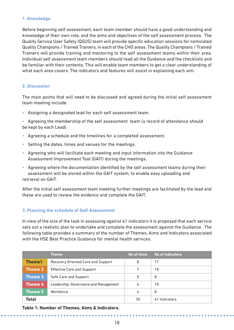## **1. Knowledge**

Before beginning self assessment, each team member should have a good understanding and knowledge of their own role, and the aims and objectives of the self assessment process. The Quality Service User Safety (QSUS) team will provide specific education sessions for nominated Quality Champions / Trained Trainers, in each of the CHO areas. The Quality Champions / Trained Trainers will provide training and mentoring to the self assessment teams within their area. Individual self assessment team members should read all the Guidance and the checklists and be familiar with their contents. This will enable team members to get a clear understanding of what each area covers. The indicators and features will assist in explaining each aim.

# **2. Discussion**

The main points that will need to be discussed and agreed during the initial self assessment team meeting include:

- Assigning a designated lead for each self assessment team.
- Agreeing the membership of the self assessment team (a record of attendance should be kept by each Lead).
- Agreeing a schedule and the timelines for a completed assessment.
- Setting the dates, times and venues for the meetings.
- Agreeing who will facilitate each meeting and input information into the Guidance Assessment Improvement Tool (GAIT) during the meetings.
- Agreeing where the documentation identified by the self assessment teams during their assessment will be stored within the GAIT system, to enable easy uploading and retrieval on GAIT.

After the initial self assessment team meeting further meetings are facilitated by the lead and these are used to review the evidence and complete the GAIT.

# **3. Planning the schedule of Self Assessment**

In view of the size of the task in assessing against 61 indicators it is proposed that each service sets out a realistic plan to undertake and complete the assessment against the Guidance. The following table provides a summary of the number of Themes, Aims and Indicators associated with the HSE Best Practice Guidance for mental health services.

|                | <b>Theme</b>                          | <b>No of Aims</b> | No of Indicators |
|----------------|---------------------------------------|-------------------|------------------|
| <b>Theme1</b>  | Recovery Oriented Care and Support    | 8                 | 17               |
| <b>Theme 2</b> | <b>Effective Care and Support</b>     | 7                 | 18               |
| <b>Theme 3</b> | Safe Care and Support                 | 5                 | 8                |
| Theme 4        | Leadership, Governance and Management | 6                 | 10               |
| Theme 5        | Workforce                             | 4                 | 8                |
| <b>Total</b>   |                                       | 30                | 61 Indicators    |

**Table 1: Number of Themes, Aims & Indicators.**

 $\mathbf{A} \mathbf{A} \mathbf{A} \mathbf{A} \mathbf{A}$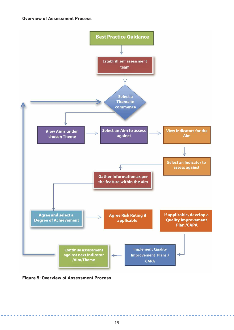

**Figure 5: Overview of Assessment Process**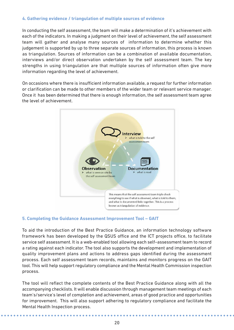# **4. Gathering evidence / triangulation of multiple sources of evidence**

In conducting the self assessment, the team will make a determination of it's achievement with each of the indicators. In making a judgment on their level of achievement, the self assessment team will gather and analyse many sources of information to determine whether this judgement is supported by up to three separate sources of information, this process is known as triangulation. Sources of information can be a combination of available documentation, interviews and/or direct observation undertaken by the self assessment team. The key strengths in using triangulation are that multiple sources of information often give more information regarding the level of achievement.

On occasions where there is insufficient information available, a request for further information or clarification can be made to other members of the wider team or relevant service manager. Once it has been determined that there is enough information, the self assessment team agree the level of achievement.



#### **5. Completing the Guidance Assessment Improvement Tool – GAIT**

To aid the introduction of the Best Practice Guidance, an information technology software framework has been developed by the QSUS office and the ICT projects office, to facilitate service self assessment. It is a web-enabled tool allowing each self–assessment team to record a rating against each indicator. The tool also supports the development and implementation of quality improvement plans and actions to address gaps identified during the assessment process. Each self assessment team records, maintains and monitors progress on the GAIT tool. This will help support regulatory compliance and the Mental Health Commission inspection process.

The tool will reflect the complete contents of the Best Practice Guidance along with all the accompanying checklists. It will enable discussion through management team meetings of each team's/service's level of completion and achievement, areas of good practice and opportunities for improvement. This will also support adhering to regulatory compliance and facilitate the Mental Health Inspection process.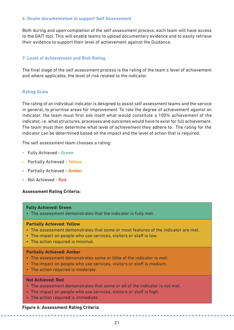## **6. Onsite documentation to support Self Assessment**

Both during and upon completion of the self assessment process, each team will have access to the GAIT tool. This will enable teams to upload documentary evidence and to easily retrieve their evidence to support their level of achievement against the Guidance.

# **7. Level of Achievement and Risk Rating**

The final stage of the self assessment process is the rating of the team's level of achievement and where applicable, the level of risk related to the indicator.

## **Rating Scale**

The rating of an individual indicator is designed to assist self assessment teams and the service in general, to prioritise areas for improvement. To rate the degree of achievement against an indicator, the team must first ask itself what would constitute a 100% achievement of the indicator, i.e. what structures, processes and outcomes would have to exist for full achievement. The team must then determine what level of achievement they adhere to. The rating for the indicator can be determined based on the impact and the level of action that is required.

The self assessment team chooses a rating:

- Fully Achieved **Green**
- Partially Achieved **Yellow**
- Partially Achieved **Amber**
- Not Achieved **Red**

### **Assessment Rating Criteria:**

#### **Fully Achieved: Green**

• The assessment demonstrates that the indicator is fully met.

### **Partially Achieved: Yellow**

- The assessment demonstrates that some or most features of the indicator are met.
- The impact on people who use services, visitors or staff is low.
- The action required is minimal.

### **Partially Achieved: Amber**

- The assessment demonstrates some or little of the indicator is met.
- The impact on people who use services, visitors or staff is medium.
- The action required is moderate.

#### **Not Achieved: Red**

- The assessment demonstrates that some or all of the indicator is not met.
- The impact on people who use services, visitors or staff is high.
- The action required is immediate.

#### **Figure 6: Assessment Rating Criteria**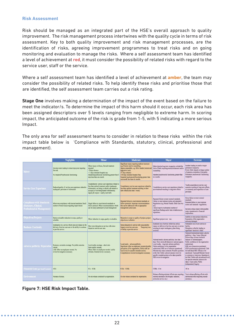### **Risk Assessment**

Risk should be managed as an integrated part of the HSE's overall approach to quality improvement. The risk management process intertwines with the quality cycle in terms of risk assessment. Key to both quality improvement and risk management processes, are the identification of risks, agreeing improvement programmes to treat risks and on going monitoring and evaluation to manage the risks. Where a self assessment team has identified a level of achievement at **red**, it must consider the possibility of related risks with regard to the service user, staff or the service.

Where a self assessment team has identified a level of achievement at **amber**, the team may consider the possibility of related risks. To help identify these risks and prioritise those that are identified, the self assessment team carries out a risk rating.

**Stage One** involves making a determination of the impact of the event based on the failure to meet the indicator/s. To determine the impact of this harm should it occur, each risk area has been assigned descriptors over 5 levels ranging from negligible to extreme harm. In scoring impact, the anticipated outcome of the risk is grade from 1-5, with 5 indicating a more serious Impact.

The only area for self assessment teams to consider in relation to these risks within the risk impact table below is 'Compliance with Standards, statutory, clinical, professional and management).

|                                                                                               | <b>Negligible</b>                                                                                                                         | <b>Minor</b>                                                                                                                                                                                                                                     |                                                                                                                                                                                                                                                                                                                                                                                                                                                                                                                                                                                                                                                                            | Major                                                                                                                                                                                                                                                                      | <b>Extreme</b>                                                                                                                                                                                                                                                                                                                                                                                                                                                                                                                                          |  |
|-----------------------------------------------------------------------------------------------|-------------------------------------------------------------------------------------------------------------------------------------------|--------------------------------------------------------------------------------------------------------------------------------------------------------------------------------------------------------------------------------------------------|----------------------------------------------------------------------------------------------------------------------------------------------------------------------------------------------------------------------------------------------------------------------------------------------------------------------------------------------------------------------------------------------------------------------------------------------------------------------------------------------------------------------------------------------------------------------------------------------------------------------------------------------------------------------------|----------------------------------------------------------------------------------------------------------------------------------------------------------------------------------------------------------------------------------------------------------------------------|---------------------------------------------------------------------------------------------------------------------------------------------------------------------------------------------------------------------------------------------------------------------------------------------------------------------------------------------------------------------------------------------------------------------------------------------------------------------------------------------------------------------------------------------------------|--|
| injury                                                                                        | Adverse event leading to minor injury not requiring<br>first aid.<br>No impaired Psychosocial functioning                                 | Minor injury or illness, first aid treatment<br>required<br><3 days absence<br><3 days extended hospital stay<br>Impaired psychosocial functioning greater than 3<br>days less than one month                                                    | Significant injury requiring medical treatment<br>e.g. Fracture and/or counselling.<br>Agency reportable, e.g. HSA, Gardai (violent and<br>aggressive acts).<br>>3 Days absence<br>3-8 Days extended hospital Stay<br>Impaired psychosocial functioning greater than<br>one month less than six months                                                                                                                                                                                                                                                                                                                                                                     | Major injuries/long term incapacity or disability<br>(loss of limb) requiring medical treatment and/or<br>counselling<br>Impaired psychosocial functioning greater than<br>six months                                                                                      | Incident leading to death or major<br>permanent incapacity.<br>Event which impacts on large number<br>of patients or member of the public<br>Permanent psychosocial functioning<br>incapacity.                                                                                                                                                                                                                                                                                                                                                          |  |
| Service User Experience                                                                       | Reduced quality of service user experience related to<br>inadequate provision of information                                              | Unsatisfactory service user experience related to<br>less than optimal treatment and/or inadequate<br>information, not being to talked to & treated as<br>an equal; or not being treated with honesty,<br>dignity & respect - readily resolvable | Unsatisfactory service user experience related to<br>less than optimal treatment resulting in short<br>term effects (less than 1 week)                                                                                                                                                                                                                                                                                                                                                                                                                                                                                                                                     | Unsatisfactory service user experience related to<br>poor treatment resulting in long term effects.                                                                                                                                                                        | Totally unsatisfactory service user<br>outcome resulting in long term effects,<br>or extremely poor experience of care<br>provision                                                                                                                                                                                                                                                                                                                                                                                                                     |  |
| <b>Compliance with Standards</b><br><b>Statutory, Clinical,</b><br>Professional & Management) | Minor non compliance with internal standards. Small<br>number of minor issues requiring improvement                                       | Single failure to meet internal standards or<br>follow protocol, Minor recommendations which<br>can be easily addressed by local management                                                                                                      | Repeated failure to meet internal standards or<br>follow protocols. Important recommendations<br>that can be addressed with an appropriate<br>management action plan.                                                                                                                                                                                                                                                                                                                                                                                                                                                                                                      | Repeated failure to meet external standards.<br>Failure to meet national norms and standards /<br>Regulations (e.g. Mental Health, Child Care Act<br>etc).<br>Critical report or substantial number of<br>significant findings and/or lack of adherence to<br>regulations. | Gross failure to meet external<br>standards<br>Repeated failure to meet national<br>norms and standards / regulations.<br>Severely critical report with possible<br>major reputational or financial<br>implications.                                                                                                                                                                                                                                                                                                                                    |  |
| <b>Objectives/Projects</b>                                                                    | Barely noticeable reduction in scope, quality or<br>schedule.                                                                             | Minor reduction in scope, quality or schedule.                                                                                                                                                                                                   | Reduction in scope or quality of project; project<br>objectives or schedule.                                                                                                                                                                                                                                                                                                                                                                                                                                                                                                                                                                                               | Significant project over - run.                                                                                                                                                                                                                                            | Inability to meet project objectives.<br>Reputation of the organisation<br>seriously damaged.                                                                                                                                                                                                                                                                                                                                                                                                                                                           |  |
| <b>Business Continuity</b>                                                                    | Interruption in a service which does not impact on the<br>delivery of service user care or the ability to continue<br>to provide service. | Short term disruption to service with minor<br>impact on service user care.                                                                                                                                                                      | Some disruption in service with unacceptable<br>impact on service user care.<br>Temporary loss<br>of ability to provide service                                                                                                                                                                                                                                                                                                                                                                                                                                                                                                                                            | Sustained loss of service which has serious<br>impact on delivery of service user care or service<br>resulting in major contingency plans being<br>involved                                                                                                                | Permanent loss of core service or<br>facility.<br>Disruption to facility leading to<br>significant 'knock on' effect                                                                                                                                                                                                                                                                                                                                                                                                                                    |  |
| <b>Adverse publicity/Reputation</b>                                                           | Rumours, no media coverage. No public concerns<br>voiced.<br>Little effect on employees morale. No<br>review/investigation necessary.     | Local media coverage - short term.<br>Some public concern.<br>Minor effect on employees morale / public<br>attitudes. Internal review necessary.                                                                                                 | National media/ adverse publicity, less than 3<br>days. News stories & features in national papers.<br>Local media -- long term adverse publicity.<br>Local media - adverse publicity.<br>Public confidence in the organisation<br>Significant effect on employees morale & public<br>perception of the organisation. Public calls (at<br>undermined. HSE use of resources questioned.<br>local level) for specific remedial actions.<br>Minister may make comment. Possible questions<br>Comprehensive review/investigation necessary.<br>in the Dáil. Public calls (at national level) for<br>specific remedial actions to be taken possible<br>HSE review/investigation |                                                                                                                                                                                                                                                                            | National/International media/ adverse<br>publicity, > than 3 days. Editorial<br>follows days of news stories &<br>features in National papers.<br>Public confidence in the organisation<br>undermined.<br>HSE use of resources questioned.<br>CEO's performance questioned. Calls<br>for individual HSE officials to be<br>sanctioned. Taoiseach/Minister forced<br>to comment or intervene. Ouestions in<br>the Dail. Public calls (at national level)<br>for specific remedial actions to be<br>taken, Court action, Public<br>(independent) Inquiry. |  |
| <b>Financial Loss (per local Contact) <elk< b=""></elk<></b>                                  |                                                                                                                                           | $E1k - E10k$                                                                                                                                                                                                                                     | $E10k - E100k$                                                                                                                                                                                                                                                                                                                                                                                                                                                                                                                                                                                                                                                             | $£100k - £1m$                                                                                                                                                                                                                                                              | >Elm                                                                                                                                                                                                                                                                                                                                                                                                                                                                                                                                                    |  |
| Environment                                                                                   | Nuisance Release.                                                                                                                         | On site release contained by organisation.                                                                                                                                                                                                       | On site release contained by organisation.                                                                                                                                                                                                                                                                                                                                                                                                                                                                                                                                                                                                                                 | Release affecting minimal off-site area requiring<br>external assistance (fire brigade, radiation,<br>protection service etc.)                                                                                                                                             | Toxic release affecting off-site with<br>detrimental effect requiring outside<br>assistance.                                                                                                                                                                                                                                                                                                                                                                                                                                                            |  |

**Figure 7: HSE Risk Impact Table.**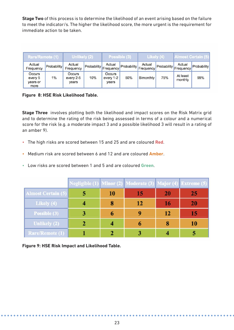**Stage Two** of this process is to determine the likelihood of an event arising based on the failure to meet the indicator/s. The higher the likelihood score, the more urgent is the requirement for immediate action to be taken.

| Rare/Remote (1)                       |             | <b>Jnlikely (2)</b>          |                        | Possible (3)                 |                    | Likely (4)                  |             | Almost Certain (5)               |             |
|---------------------------------------|-------------|------------------------------|------------------------|------------------------------|--------------------|-----------------------------|-------------|----------------------------------|-------------|
| Actual<br>Frequency                   | Probability | Actual<br>Frequency          | Probability Frequency! | Actual                       | <b>Probability</b> | Actual<br><b>IFrequency</b> | Probability | Actual<br>Frequency <sup>'</sup> | Probability |
| Occurs<br>every 5<br>years or<br>more | 1%          | Occurs<br>every 2-5<br>vears | 10%                    | Occurs<br>every 1-2<br>years | 50%                | Bimonthly                   | 75%         | At least<br>monthly              | 99%         |

**Figure 8: HSE Risk Likelihood Table.**

**Stage Three** involves plotting both the likelihood and impact scores on the Risk Matrix grid and to determine the rating of the risk being assessed in terms of a colour and a numerical score for the risk (e.g. a moderate impact 3 and a possible likelihood 3 will result in a rating of an amber 9).

- The high risks are scored between 15 and 25 and are coloured **Red**.
- Medium risk are scored between 6 and 12 and are coloured **Amber**.
- Low risks are scored between 1 and 5 and are coloured **Green**.

|                           |   |    | Negligible (1) Minor (2) Moderate (3) Major (4) Extreme (5) |    |           |
|---------------------------|---|----|-------------------------------------------------------------|----|-----------|
| <b>Almost Certain (5)</b> |   | 10 | 15                                                          | 20 | 25        |
| Likely $(4)$              |   |    | 12                                                          | 16 | <b>20</b> |
| Possible (3)              | 3 | 6  |                                                             | 12 |           |
| Unlikely (2)              |   |    |                                                             | 8  | 10        |
| Rare/Remote (1)           |   |    |                                                             |    |           |

**Figure 9: HSE Risk Impact and Likelihood Table.**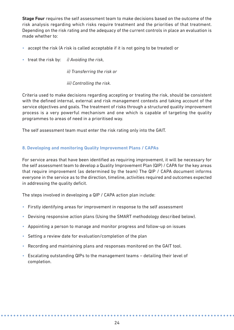**Stage Four** requires the self assessment team to make decisions based on the outcome of the risk analysis regarding which risks require treatment and the priorities of that treatment. Depending on the risk rating and the adequacy of the current controls in place an evaluation is made whether to:

- accept the risk (A risk is called acceptable if it is not going to be treated) or
- treat the risk by: *i) Avoiding the risk,*

*ii) Transferring the risk or*

*iii) Controlling the risk.* 

Criteria used to make decisions regarding accepting or treating the risk, should be consistent with the defined internal, external and risk management contexts and taking account of the service objectives and goals. The treatment of risks through a structured quality improvement process is a very powerful mechanism and one which is capable of targeting the quality programmes to areas of need in a prioritised way.

The self assessment team must enter the risk rating only into the GAIT.

# **8. Developing and monitoring Quality Improvement Plans / CAPAs**

For service areas that have been identified as requiring improvement, it will be necessary for the self assessment team to develop a Quality Improvement Plan (QIP) / CAPA for the key areas that require improvement (as determined by the team) The QIP / CAPA document informs everyone in the service as to the direction, timeline, activities required and outcomes expected in addressing the quality deficit.

The steps involved in developing a QIP / CAPA action plan include:

- Firstly identifying areas for improvement in response to the self assessment
- Devising responsive action plans (Using the SMART methodology described below).
- Appointing a person to manage and monitor progress and follow-up on issues
- Setting a review date for evaluation/completion of the plan
- Recording and maintaining plans and responses monitored on the GAIT tool.
- Escalating outstanding QIPs to the management teams detailing their level of completion.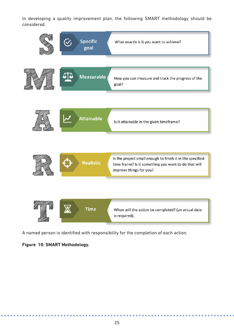In developing a quality improvement plan, the following SMART methodology should be considered.



A named person is identified with responsibility for the completion of each action.

# **Figure 10: SMART Methodology.**